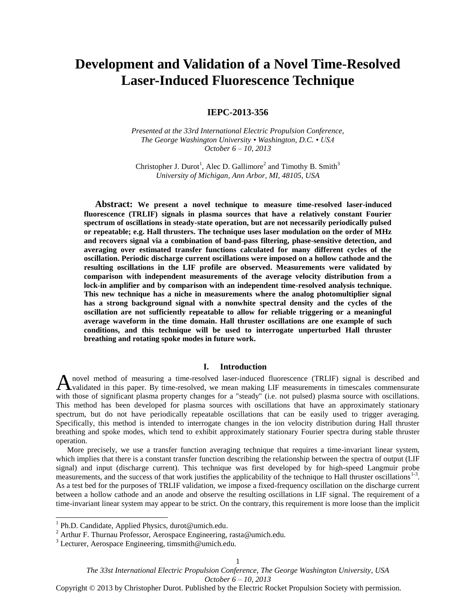# **Development and Validation of a Novel Time-Resolved Laser-Induced Fluorescence Technique**

## **IEPC-2013-356**

*Presented at the 33rd International Electric Propulsion Conference, The George Washington University • Washington, D.C. • USA October 6 – 10, 2013*

Christopher J. Durot<sup>1</sup>, Alec D. Gallimore<sup>2</sup> and Timothy B. Smith<sup>3</sup> *University of Michigan, Ann Arbor, MI, 48105, USA*

**Abstract: We present a novel technique to measure time-resolved laser-induced fluorescence (TRLIF) signals in plasma sources that have a relatively constant Fourier spectrum of oscillations in steady-state operation, but are not necessarily periodically pulsed or repeatable; e.g. Hall thrusters. The technique uses laser modulation on the order of MHz and recovers signal via a combination of band-pass filtering, phase-sensitive detection, and averaging over estimated transfer functions calculated for many different cycles of the oscillation. Periodic discharge current oscillations were imposed on a hollow cathode and the resulting oscillations in the LIF profile are observed. Measurements were validated by comparison with independent measurements of the average velocity distribution from a lock-in amplifier and by comparison with an independent time-resolved analysis technique. This new technique has a niche in measurements where the analog photomultiplier signal has a strong background signal with a nonwhite spectral density and the cycles of the oscillation are not sufficiently repeatable to allow for reliable triggering or a meaningful average waveform in the time domain. Hall thruster oscillations are one example of such conditions, and this technique will be used to interrogate unperturbed Hall thruster breathing and rotating spoke modes in future work.**

## **I. Introduction**

novel method of measuring a time-resolved laser-induced fluorescence (TRLIF) signal is described and A novel method of measuring a time-resolved laser-induced fluorescence (TRLIF) signal is described and validated in this paper. By time-resolved, we mean making LIF measurements in timescales commensurate with those of significant plasma property changes for a "steady" (i.e. not pulsed) plasma source with oscillations. This method has been developed for plasma sources with oscillations that have an approximately stationary spectrum, but do not have periodically repeatable oscillations that can be easily used to trigger averaging. Specifically, this method is intended to interrogate changes in the ion velocity distribution during Hall thruster breathing and spoke modes, which tend to exhibit approximately stationary Fourier spectra during stable thruster operation.

More precisely, we use a transfer function averaging technique that requires a time-invariant linear system, which implies that there is a constant transfer function describing the relationship between the spectra of output (LIF signal) and input (discharge current). This technique was first developed by for high-speed Langmuir probe measurements, and the success of that work justifies the applicability of the technique to Hall thruster oscillations<sup>1-3</sup>. As a test bed for the purposes of TRLIF validation, we impose a fixed-frequency oscillation on the discharge current between a hollow cathode and an anode and observe the resulting oscillations in LIF signal. The requirement of a time-invariant linear system may appear to be strict. On the contrary, this requirement is more loose than the implicit

Copyright © 2013 by Christopher Durot. Published by the Electric Rocket Propulsion Society with permission.

 1 Ph.D. Candidate, Applied Physics, durot@umich.edu.

<sup>2</sup> Arthur F. Thurnau Professor, Aerospace Engineering, rasta@umich.edu.

 $3$  Lecturer, Aerospace Engineering, timsmith@umich.edu.

*The 33st International Electric Propulsion Conference, The George Washington University, USA October 6 – 10, 2013*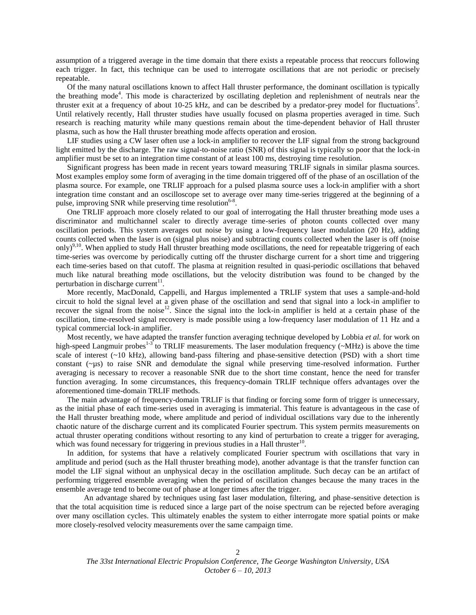assumption of a triggered average in the time domain that there exists a repeatable process that reoccurs following each trigger. In fact, this technique can be used to interrogate oscillations that are not periodic or precisely repeatable.

Of the many natural oscillations known to affect Hall thruster performance, the dominant oscillation is typically the breathing mode<sup>4</sup>. This mode is characterized by oscillating depletion and replenishment of neutrals near the thruster exit at a frequency of about  $10-25$  kHz, and can be described by a predator-prey model for fluctuations<sup>5</sup>. Until relatively recently, Hall thruster studies have usually focused on plasma properties averaged in time. Such research is reaching maturity while many questions remain about the time-dependent behavior of Hall thruster plasma, such as how the Hall thruster breathing mode affects operation and erosion.

LIF studies using a CW laser often use a lock-in amplifier to recover the LIF signal from the strong background light emitted by the discharge. The raw signal-to-noise ratio (SNR) of this signal is typically so poor that the lock-in amplifier must be set to an integration time constant of at least 100 ms, destroying time resolution.

Significant progress has been made in recent years toward measuring TRLIF signals in similar plasma sources. Most examples employ some form of averaging in the time domain triggered off of the phase of an oscillation of the plasma source. For example, one TRLIF approach for a pulsed plasma source uses a lock-in amplifier with a short integration time constant and an oscilloscope set to average over many time-series triggered at the beginning of a pulse, improving SNR while preserving time resolution<sup>6-8</sup>.

One TRLIF approach more closely related to our goal of interrogating the Hall thruster breathing mode uses a discriminator and multichannel scaler to directly average time-series of photon counts collected over many oscillation periods. This system averages out noise by using a low-frequency laser modulation (20 Hz), adding counts collected when the laser is on (signal plus noise) and subtracting counts collected when the laser is off (noise only)<sup>9,10</sup>. When applied to study Hall thruster breathing mode oscillations, the need for repeatable triggering of each time-series was overcome by periodically cutting off the thruster discharge current for a short time and triggering each time-series based on that cutoff. The plasma at reignition resulted in quasi-periodic oscillations that behaved much like natural breathing mode oscillations, but the velocity distribution was found to be changed by the perturbation in discharge current $11$ .

More recently, MacDonald, Cappelli, and Hargus implemented a TRLIF system that uses a sample-and-hold circuit to hold the signal level at a given phase of the oscillation and send that signal into a lock-in amplifier to recover the signal from the noise<sup>12</sup>. Since the signal into the lock-in amplifier is held at a certain phase of the oscillation, time-resolved signal recovery is made possible using a low-frequency laser modulation of 11 Hz and a typical commercial lock-in amplifier.

Most recently, we have adapted the transfer function averaging technique developed by Lobbia *et al.* for work on high-speed Langmuir probes<sup>1-3</sup> to TRLIF measurements. The laser modulation frequency ( $\sim$ MHz) is above the time scale of interest (~10 kHz), allowing band-pass filtering and phase-sensitive detection (PSD) with a short time constant (~us) to raise SNR and demodulate the signal while preserving time-resolved information. Further averaging is necessary to recover a reasonable SNR due to the short time constant, hence the need for transfer function averaging. In some circumstances, this frequency-domain TRLIF technique offers advantages over the aforementioned time-domain TRLIF methods.

The main advantage of frequency-domain TRLIF is that finding or forcing some form of trigger is unnecessary, as the initial phase of each time-series used in averaging is immaterial. This feature is advantageous in the case of the Hall thruster breathing mode, where amplitude and period of individual oscillations vary due to the inherently chaotic nature of the discharge current and its complicated Fourier spectrum. This system permits measurements on actual thruster operating conditions without resorting to any kind of perturbation to create a trigger for averaging, which was found necessary for triggering in previous studies in a Hall thruster<sup>10</sup>.

In addition, for systems that have a relatively complicated Fourier spectrum with oscillations that vary in amplitude and period (such as the Hall thruster breathing mode), another advantage is that the transfer function can model the LIF signal without an unphysical decay in the oscillation amplitude. Such decay can be an artifact of performing triggered ensemble averaging when the period of oscillation changes because the many traces in the ensemble average tend to become out of phase at longer times after the trigger.

An advantage shared by techniques using fast laser modulation, filtering, and phase-sensitive detection is that the total acquisition time is reduced since a large part of the noise spectrum can be rejected before averaging over many oscillation cycles. This ultimately enables the system to either interrogate more spatial points or make more closely-resolved velocity measurements over the same campaign time.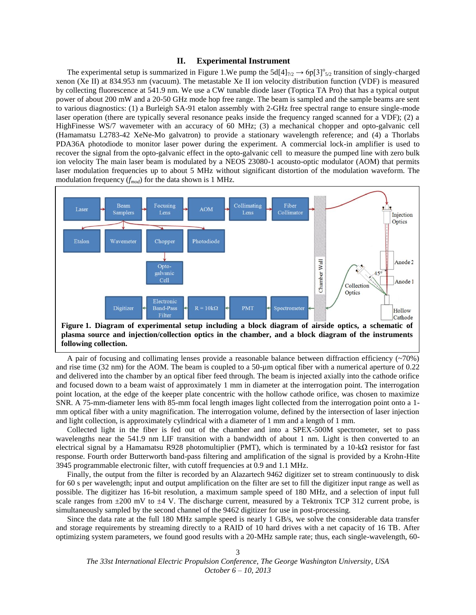## **II. Experimental Instrument**

The experimental setup is summarized in [Figure 1.](#page-2-0) We pump the  $5d[4]_{7/2} \rightarrow 6p[3]_{5/2}^{\circ}$  transition of singly-charged xenon (Xe II) at 834.953 nm (vacuum). The metastable Xe II ion velocity distribution function (VDF) is measured by collecting fluorescence at 541.9 nm. We use a CW tunable diode laser (Toptica TA Pro) that has a typical output power of about 200 mW and a 20-50 GHz mode hop free range. The beam is sampled and the sample beams are sent to various diagnostics: (1) a Burleigh SA-91 etalon assembly with 2-GHz free spectral range to ensure single-mode laser operation (there are typically several resonance peaks inside the frequency ranged scanned for a VDF); (2) a HighFinesse WS/7 wavemeter with an accuracy of 60 MHz; (3) a mechanical chopper and opto-galvanic cell (Hamamatsu L2783-42 XeNe-Mo galvatron) to provide a stationary wavelength reference; and (4) a Thorlabs PDA36A photodiode to monitor laser power during the experiment. A commercial lock-in amplifier is used to recover the signal from the opto-galvanic effect in the opto-galvanic cell to measure the pumped line with zero bulk ion velocity The main laser beam is modulated by a NEOS 23080-1 acousto-optic modulator (AOM) that permits laser modulation frequencies up to about 5 MHz without significant distortion of the modulation waveform. The modulation frequency (*fmod*) for the data shown is 1 MHz.



<span id="page-2-0"></span>A pair of focusing and collimating lenses provide a reasonable balance between diffraction efficiency (~70%) and rise time (32 nm) for the AOM. The beam is coupled to a 50-µm optical fiber with a numerical aperture of 0.22 and delivered into the chamber by an optical fiber feed through. The beam is injected axially into the cathode orifice and focused down to a beam waist of approximately 1 mm in diameter at the interrogation point. The interrogation point location, at the edge of the keeper plate concentric with the hollow cathode orifice, was chosen to maximize SNR. A 75-mm-diameter lens with 85-mm focal length images light collected from the interrogation point onto a 1 mm optical fiber with a unity magnification. The interrogation volume, defined by the intersection of laser injection and light collection, is approximately cylindrical with a diameter of 1 mm and a length of 1 mm.

Collected light in the fiber is fed out of the chamber and into a SPEX-500M spectrometer, set to pass wavelengths near the 541.9 nm LIF transition with a bandwidth of about 1 nm. Light is then converted to an electrical signal by a Hamamatsu R928 photomultiplier (PMT), which is terminated by a 10-kΩ resistor for fast response. Fourth order Butterworth band-pass filtering and amplification of the signal is provided by a Krohn-Hite 3945 programmable electronic filter, with cutoff frequencies at 0.9 and 1.1 MHz.

Finally, the output from the filter is recorded by an Alazartech 9462 digitizer set to stream continuously to disk for 60 s per wavelength; input and output amplification on the filter are set to fill the digitizer input range as well as possible. The digitizer has 16-bit resolution, a maximum sample speed of 180 MHz, and a selection of input full scale ranges from  $\pm 200$  mV to  $\pm 4$  V. The discharge current, measured by a Tektronix TCP 312 current probe, is simultaneously sampled by the second channel of the 9462 digitizer for use in post-processing.

Since the data rate at the full 180 MHz sample speed is nearly 1 GB/s, we solve the considerable data transfer and storage requirements by streaming directly to a RAID of 10 hard drives with a net capacity of 16 TB. After optimizing system parameters, we found good results with a 20-MHz sample rate; thus, each single-wavelength, 60-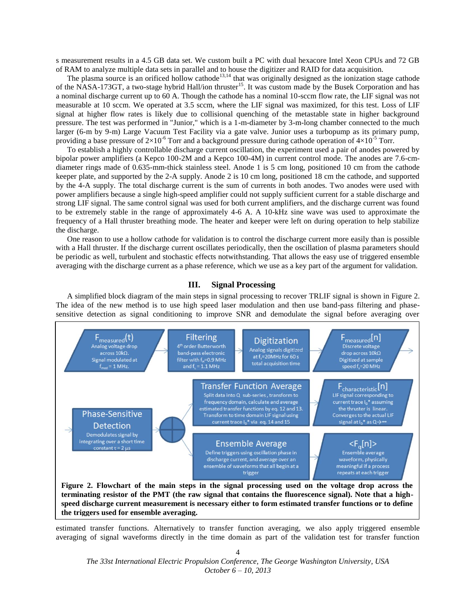s measurement results in a 4.5 GB data set. We custom built a PC with dual hexacore Intel Xeon CPUs and 72 GB of RAM to analyze multiple data sets in parallel and to house the digitizer and RAID for data acquisition.

The plasma source is an orificed hollow cathode<sup>13,14</sup> that was originally designed as the ionization stage cathode of the NASA-173GT, a two-stage hybrid Hall/ion thruster<sup>15</sup>. It was custom made by the Busek Corporation and has a nominal discharge current up to 60 A. Though the cathode has a nominal 10-sccm flow rate, the LIF signal was not measurable at 10 sccm. We operated at 3.5 sccm, where the LIF signal was maximized, for this test. Loss of LIF signal at higher flow rates is likely due to collisional quenching of the metastable state in higher background pressure. The test was performed in "Junior," which is a 1-m-diameter by 3-m-long chamber connected to the much larger (6-m by 9-m) Large Vacuum Test Facility via a gate valve. Junior uses a turbopump as its primary pump, providing a base pressure of  $2\times10^{-6}$  Torr and a background pressure during cathode operation of  $4\times10^{-5}$  Torr.

To establish a highly controllable discharge current oscillation, the experiment used a pair of anodes powered by bipolar power amplifiers (a Kepco 100-2M and a Kepco 100-4M) in current control mode. The anodes are 7.6-cmdiameter rings made of 0.635-mm-thick stainless steel. Anode 1 is 5 cm long, positioned 10 cm from the cathode keeper plate, and supported by the 2-A supply. Anode 2 is 10 cm long, positioned 18 cm the cathode, and supported by the 4-A supply. The total discharge current is the sum of currents in both anodes. Two anodes were used with power amplifiers because a single high-speed amplifier could not supply sufficient current for a stable discharge and strong LIF signal. The same control signal was used for both current amplifiers, and the discharge current was found to be extremely stable in the range of approximately 4-6 A. A 10-kHz sine wave was used to approximate the frequency of a Hall thruster breathing mode. The heater and keeper were left on during operation to help stabilize the discharge.

One reason to use a hollow cathode for validation is to control the discharge current more easily than is possible with a Hall thruster. If the discharge current oscillates periodically, then the oscillation of plasma parameters should be periodic as well, turbulent and stochastic effects notwithstanding. That allows the easy use of triggered ensemble averaging with the discharge current as a phase reference, which we use as a key part of the argument for validation.

## **III. Signal Processing**

A simplified block diagram of the main steps in signal processing to recover TRLIF signal is shown i[n Figure 2.](#page-3-0) The idea of the new method is to use high speed laser modulation and then use band-pass filtering and phasesensitive detection as signal conditioning to improve SNR and demodulate the signal before averaging over



<span id="page-3-0"></span>estimated transfer functions. Alternatively to transfer function averaging, we also apply triggered ensemble averaging of signal waveforms directly in the time domain as part of the validation test for transfer function

*The 33st International Electric Propulsion Conference, The George Washington University, USA October 6 – 10, 2013*

4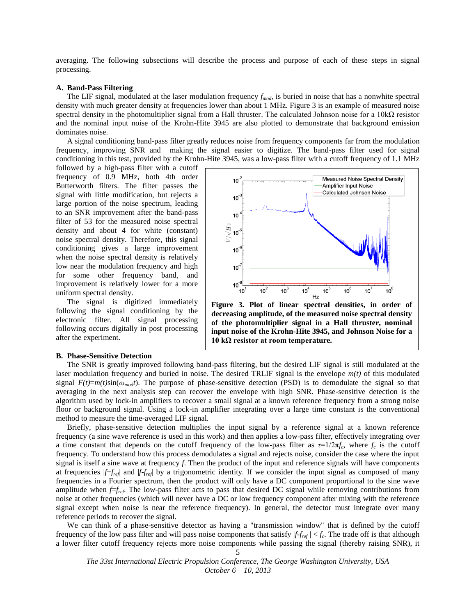averaging. The following subsections will describe the process and purpose of each of these steps in signal processing.

## **A. Band-Pass Filtering**

The LIF signal, modulated at the laser modulation frequency *fmod*, is buried in noise that has a nonwhite spectral density with much greater density at frequencies lower than about 1 MHz[. Figure 3](#page-4-0) is an example of measured noise spectral density in the photomultiplier signal from a Hall thruster. The calculated Johnson noise for a  $10k\Omega$  resistor and the nominal input noise of the Krohn-Hite 3945 are also plotted to demonstrate that background emission dominates noise.

A signal conditioning band-pass filter greatly reduces noise from frequency components far from the modulation frequency, improving SNR and making the signal easier to digitize. The band-pass filter used for signal conditioning in this test, provided by the Krohn-Hite 3945, was a low-pass filter with a cutoff frequency of 1.1 MHz

followed by a high-pass filter with a cutoff frequency of 0.9 MHz, both 4th order Butterworth filters. The filter passes the signal with little modification, but rejects a large portion of the noise spectrum, leading to an SNR improvement after the band-pass filter of 53 for the measured noise spectral density and about 4 for white (constant) noise spectral density. Therefore, this signal conditioning gives a large improvement when the noise spectral density is relatively low near the modulation frequency and high for some other frequency band, and improvement is relatively lower for a more uniform spectral density.

The signal is digitized immediately following the signal conditioning by the electronic filter. All signal processing following occurs digitally in post processing after the experiment.



<span id="page-4-0"></span>**decreasing amplitude, of the measured noise spectral density of the photomultiplier signal in a Hall thruster, nominal input noise of the Krohn-Hite 3945, and Johnson Noise for a 10 kΩ resistor at room temperature.** 

#### **B. Phase-Sensitive Detection**

The SNR is greatly improved following band-pass filtering, but the desired LIF signal is still modulated at the laser modulation frequency and buried in noise. The desired TRLIF signal is the envelope *m(t)* of this modulated signal  $F(t)=m(t)\sin(\omega_{mod}t)$ . The purpose of phase-sensitive detection (PSD) is to demodulate the signal so that averaging in the next analysis step can recover the envelope with high SNR. Phase-sensitive detection is the algorithm used by lock-in amplifiers to recover a small signal at a known reference frequency from a strong noise floor or background signal. Using a lock-in amplifier integrating over a large time constant is the conventional method to measure the time-averaged LIF signal.

Briefly, phase-sensitive detection multiplies the input signal by a reference signal at a known reference frequency (a sine wave reference is used in this work) and then applies a low-pass filter, effectively integrating over a time constant that depends on the cutoff frequency of the low-pass filter as  $\tau=1/2\pi f_c$ , where  $f_c$  is the cutoff frequency. To understand how this process demodulates a signal and rejects noise, consider the case where the input signal is itself a sine wave at frequency *f*. Then the product of the input and reference signals will have components at frequencies |*f*+*fref*| and |*f*-*fref*| by a trigonometric identity. If we consider the input signal as composed of many frequencies in a Fourier spectrum, then the product will only have a DC component proportional to the sine wave amplitude when *f*=*fref*. The low-pass filter acts to pass that desired DC signal while removing contributions from noise at other frequencies (which will never have a DC or low frequency component after mixing with the reference signal except when noise is near the reference frequency). In general, the detector must integrate over many reference periods to recover the signal.

We can think of a phase-sensitive detector as having a "transmission window" that is defined by the cutoff frequency of the low pass filter and will pass noise components that satisfy |*f*-*fref* | < *f<sup>c</sup>* . The trade off is that although a lower filter cutoff frequency rejects more noise components while passing the signal (thereby raising SNR), it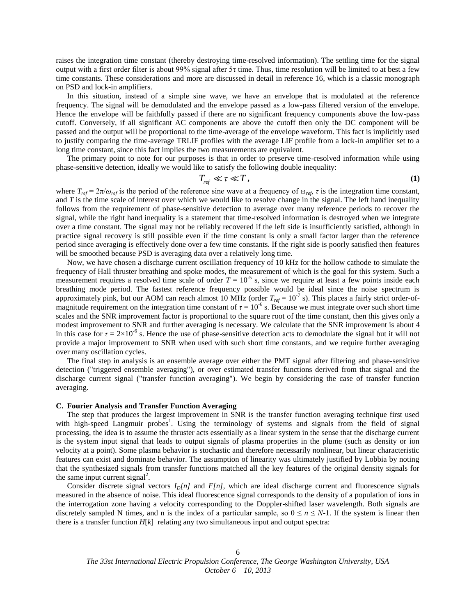raises the integration time constant (thereby destroying time-resolved information). The settling time for the signal output with a first order filter is about 99% signal after  $5\tau$  time. Thus, time resolution will be limited to at best a few time constants. These considerations and more are discussed in detail in reference 16, which is a classic monograph on PSD and lock-in amplifiers.

In this situation, instead of a simple sine wave, we have an envelope that is modulated at the reference frequency. The signal will be demodulated and the envelope passed as a low-pass filtered version of the envelope. Hence the envelope will be faithfully passed if there are no significant frequency components above the low-pass cutoff. Conversely, if all significant AC components are above the cutoff then only the DC component will be passed and the output will be proportional to the time-average of the envelope waveform. This fact is implicitly used to justify comparing the time-average TRLIF profiles with the average LIF profile from a lock-in amplifier set to a long time constant, since this fact implies the two measurements are equivalent.

The primary point to note for our purposes is that in order to preserve time-resolved information while using phase-sensitive detection, ideally we would like to satisfy the following double inequality:

$$
T_{ref} \ll \tau \ll T, \tag{1}
$$

where  $T_{ref} = 2\pi/\omega_{ref}$  is the period of the reference sine wave at a frequency of  $\omega_{ref}$ , *τ* is the integration time constant, and *T* is the time scale of interest over which we would like to resolve change in the signal. The left hand inequality follows from the requirement of phase-sensitive detection to average over many reference periods to recover the signal, while the right hand inequality is a statement that time-resolved information is destroyed when we integrate over a time constant. The signal may not be reliably recovered if the left side is insufficiently satisfied, although in practice signal recovery is still possible even if the time constant is only a small factor larger than the reference period since averaging is effectively done over a few time constants. If the right side is poorly satisfied then features will be smoothed because PSD is averaging data over a relatively long time.

Now, we have chosen a discharge current oscillation frequency of 10 kHz for the hollow cathode to simulate the frequency of Hall thruster breathing and spoke modes, the measurement of which is the goal for this system. Such a measurement requires a resolved time scale of order  $T = 10^{-5}$  s, since we require at least a few points inside each breathing mode period. The fastest reference frequency possible would be ideal since the noise spectrum is approximately pink, but our AOM can reach almost 10 MHz (order  $T_{ref} = 10^{-7}$  s). This places a fairly strict order-ofmagnitude requirement on the integration time constant of  $\tau = 10^{-6}$  s. Because we must integrate over such short time scales and the SNR improvement factor is proportional to the square root of the time constant, then this gives only a modest improvement to SNR and further averaging is necessary. We calculate that the SNR improvement is about 4 in this case for  $\tau = 2 \times 10^{-6}$  s. Hence the use of phase-sensitive detection acts to demodulate the signal but it will not provide a major improvement to SNR when used with such short time constants, and we require further averaging over many oscillation cycles.

The final step in analysis is an ensemble average over either the PMT signal after filtering and phase-sensitive detection ("triggered ensemble averaging"), or over estimated transfer functions derived from that signal and the discharge current signal ("transfer function averaging"). We begin by considering the case of transfer function averaging.

## **C. Fourier Analysis and Transfer Function Averaging**

The step that produces the largest improvement in SNR is the transfer function averaging technique first used with high-speed Langmuir probes<sup>1</sup>. Using the terminology of systems and signals from the field of signal processing, the idea is to assume the thruster acts essentially as a linear system in the sense that the discharge current is the system input signal that leads to output signals of plasma properties in the plume (such as density or ion velocity at a point). Some plasma behavior is stochastic and therefore necessarily nonlinear, but linear characteristic features can exist and dominate behavior. The assumption of linearity was ultimately justified by Lobbia by noting that the synthesized signals from transfer functions matched all the key features of the original density signals for the same input current signal<sup>2</sup>.

Consider discrete signal vectors  $I<sub>D</sub>[n]$  and  $F[n]$ , which are ideal discharge current and fluorescence signals measured in the absence of noise. This ideal fluorescence signal corresponds to the density of a population of ions in the interrogation zone having a velocity corresponding to the Doppler-shifted laser wavelength. Both signals are discretely sampled N times, and n is the index of a particular sample, so  $0 \le n \le N-1$ . If the system is linear then there is a transfer function  $H[k]$  relating any two simultaneous input and output spectra: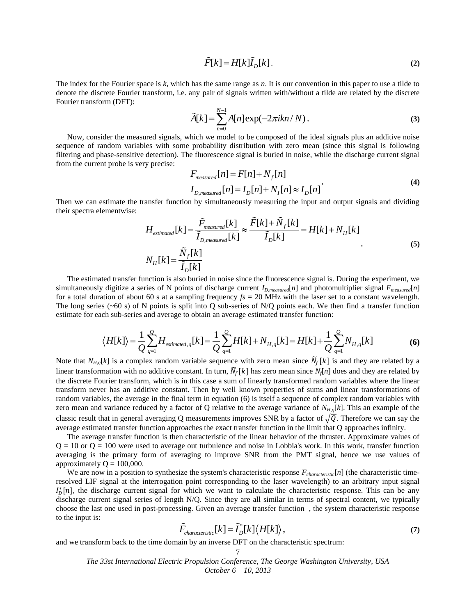<span id="page-6-1"></span>
$$
\tilde{F}[k] = H[k]\tilde{I}_D[k].
$$
\n(2)

The index for the Fourier space is *k*, which has the same range as *n*. It is our convention in this paper to use a tilde to denote the discrete Fourier transform, i.e. any pair of signals written with/without a tilde are related by the discrete Fourier transform (DFT):

$$
\tilde{A}[k] = \sum_{n=0}^{N-1} A[n] \exp(-2\pi i k n / N).
$$
 (3)

Now, consider the measured signals, which we model to be composed of the ideal signals plus an additive noise sequence of random variables with some probability distribution with zero mean (since this signal is following filtering and phase-sensitive detection). The fluorescence signal is buried in noise, while the discharge current signal from the current probe is very precise:

<span id="page-6-0"></span>
$$
F_{measured}[n] = F[n] + N_f[n]
$$
  
\n
$$
I_{D,measured}[n] = I_D[n] + N_I[n] \approx I_D[n]
$$
 (4)

Then we can estimate the transfer function by simultaneously measuring the input and output signals and dividing their spectra elementwise:<br>  $H_{estimated}[k] = \frac{\tilde{F}_{measured}[k]}{\tilde{F}_{reasured}[k]} \approx \frac{\tilde{F}[k] + \tilde{N}_f[k]}{\tilde{F}_{e}[\tilde{F}_{m}]} = H[k] + N_H[k]$ their spectra elementwise:

Answer function by simultaneousity measuring the input and output signals and dividing

\n
$$
H_{estimated}[k] = \frac{\tilde{F}_{measured}[k]}{\tilde{I}_{D,measured}[k]} \approx \frac{\tilde{F}[k] + \tilde{N}_f[k]}{\tilde{I}_D[k]} = H[k] + N_H[k]
$$
\n(5)

\n
$$
N_H[k] = \frac{\tilde{N}_f[k]}{\tilde{I}_D[k]}
$$

The estimated transfer function is also buried in noise since the fluorescence signal is. During the experiment, we simultaneously digitize a series of N points of discharge current  $I_{D,measured}[n]$  and photomultiplier signal  $F_{measured}[n]$ for a total duration of about 60 s at a sampling frequency  $fs = 20$  MHz with the laser set to a constant wavelength. simultaneously digitize a series of N points of discharge current  $I_{D,measured}[n]$  and photomultiplier signal  $F_{measured}[n]$  for a total duration of about 60 s at a sampling frequency  $fs = 20$  MHz with the laser set to a constant wa

The long series (~60 s) of N points is split into Q sub-series of N/Q points each. We then find a transfer function  
estimate for each sub-series and average to obtain an average estimated transfer function:  

$$
\langle H[k] \rangle = \frac{1}{Q} \sum_{q=1}^{Q} H_{estimated,q}[k] = \frac{1}{Q} \sum_{q=1}^{Q} H[k] + N_{H,q}[k] = H[k] + \frac{1}{Q} \sum_{q=1}^{Q} N_{H,q}[k]
$$
(6)

Note that  $N_{H,q}[k]$  is a complex random variable sequence with zero mean since  $\tilde{N}_f[k]$  is and they are related by a linear transformation with no additive constant. In turn,  $\tilde{N}_f[k]$  has zero mean since  $N_f[n]$  does and they are related by the discrete Fourier transform, which is in this case a sum of linearly transformed random variables where the linear transform never has an additive constant. Then by well known properties of sums and linear transformations of random variables, the average in the final term in equation [\(6\)](#page-6-0) is itself a sequence of complex random variables with zero mean and variance reduced by a factor of Q relative to the average variance of *NH,q*[*k*]. This an example of the classic result that in general averaging Q measurements improves SNR by a factor of  $\sqrt{Q}$ . Therefore we can say the average estimated transfer function approaches the exact transfer function in the limit that Q approaches infinity.

The average transfer function is then characteristic of the linear behavior of the thruster. Approximate values of  $Q = 10$  or  $Q = 100$  were used to average out turbulence and noise in Lobbia's work. In this work, transfer function averaging is the primary form of averaging to improve SNR from the PMT signal, hence we use values of approximately  $Q = 100,000$ .

We are now in a position to synthesize the system's characteristic response *Fcharacteristic*[*n*] (the characteristic timeresolved LIF signal at the interrogation point corresponding to the laser wavelength) to an arbitrary input signal  $I_D^*[n]$ , the discharge current signal for which we want to calculate the characteristic response. This can be any discharge current signal series of length N/Q. Since they are all similar in terms of spectral content, we typically choose the last one used in post-processing. Given an average transfer function , the system characteristic response to the input is:

$$
\tilde{F}_{characteristic}[k] = \tilde{I}_D^*[k] \langle H[k] \rangle, \qquad (7)
$$

and we transform back to the time domain by an inverse DFT on the characteristic spectrum:

*The 33st International Electric Propulsion Conference, The George Washington University, USA October 6 – 10, 2013* 7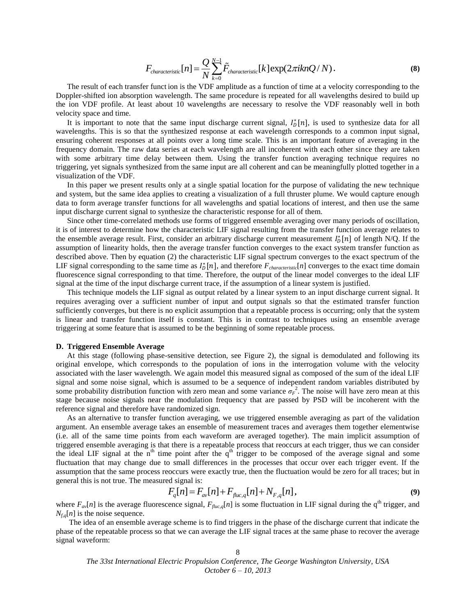$$
F_{characteristic}[n] = \frac{Q}{N} \sum_{k=0}^{N-1} \tilde{F}_{characteristic}[k] \exp(2\pi i k n Q/N).
$$
 (8)

The result of each transfer funct ion is the VDF amplitude as a function of time at a velocity corresponding to the Doppler-shifted ion absorption wavelength. The same procedure is repeated for all wavelengths desired to build up the ion VDF profile. At least about 10 wavelengths are necessary to resolve the VDF reasonably well in both velocity space and time.

It is important to note that the same input discharge current signal,  $I_D^*[n]$ , is used to synthesize data for all wavelengths. This is so that the synthesized response at each wavelength corresponds to a common input signal, ensuring coherent responses at all points over a long time scale. This is an important feature of averaging in the frequency domain. The raw data series at each wavelength are all incoherent with each other since they are taken with some arbitrary time delay between them. Using the transfer function averaging technique requires no triggering, yet signals synthesized from the same input are all coherent and can be meaningfully plotted together in a visualization of the VDF.

In this paper we present results only at a single spatial location for the purpose of validating the new technique and system, but the same idea applies to creating a visualization of a full thruster plume. We would capture enough data to form average transfer functions for all wavelengths and spatial locations of interest, and then use the same input discharge current signal to synthesize the characteristic response for all of them.

Since other time-correlated methods use forms of triggered ensemble averaging over many periods of oscillation, it is of interest to determine how the characteristic LIF signal resulting from the transfer function average relates to the ensemble average result. First, consider an arbitrary discharge current measurement  $I_D^*[n]$  of length N/Q. If the assumption of linearity holds, then the average transfer function converges to the exact system transfer function as described above. Then by equation [\(2\)](#page-6-1) the characteristic LIF signal spectrum converges to the exact spectrum of the LIF signal corresponding to the same time as  $I_D^*[n]$ , and therefore  $F_{characteristic}[n]$  converges to the exact time domain fluorescence signal corresponding to that time. Therefore, the output of the linear model converges to the ideal LIF signal at the time of the input discharge current trace, if the assumption of a linear system is justified.

This technique models the LIF signal as output related by a linear system to an input discharge current signal. It requires averaging over a sufficient number of input and output signals so that the estimated transfer function sufficiently converges, but there is no explicit assumption that a repeatable process is occurring; only that the system is linear and transfer function itself is constant. This is in contrast to techniques using an ensemble average triggering at some feature that is assumed to be the beginning of some repeatable process.

#### **D. Triggered Ensemble Average**

At this stage (following phase-sensitive detection, see [Figure 2\)](#page-3-0), the signal is demodulated and following its original envelope, which corresponds to the population of ions in the interrogation volume with the velocity associated with the laser wavelength. We again model this measured signal as composed of the sum of the ideal LIF signal and some noise signal, which is assumed to be a sequence of independent random variables distributed by some probability distribution function with zero mean and some variance  $\sigma_F^2$ . The noise will have zero mean at this stage because noise signals near the modulation frequency that are passed by PSD will be incoherent with the reference signal and therefore have randomized sign.

As an alternative to transfer function averaging, we use triggered ensemble averaging as part of the validation argument. An ensemble average takes an ensemble of measurement traces and averages them together elementwise (i.e. all of the same time points from each waveform are averaged together). The main implicit assumption of triggered ensemble averaging is that there is a repeatable process that reoccurs at each trigger, thus we can consider the ideal LIF signal at the  $n<sup>th</sup>$  time point after the  $q<sup>th</sup>$  trigger to be composed of the average signal and some fluctuation that may change due to small differences in the processes that occur over each trigger event. If the assumption that the same process reoccurs were exactly true, then the fluctuation would be zero for all traces; but in general this is not true. The measured signal is:

$$
F_q[n] = F_{av}[n] + F_{fluc,q}[n] + N_{F,q}[n],
$$
\n(9)

where  $F_{av}[n]$  is the average fluorescence signal,  $F_{fluc,q}[n]$  is some fluctuation in LIF signal during the q<sup>th</sup> trigger, and  $N_{f,q}[n]$  is the noise sequence.

The idea of an ensemble average scheme is to find triggers in the phase of the discharge current that indicate the phase of the repeatable process so that we can average the LIF signal traces at the same phase to recover the average signal waveform: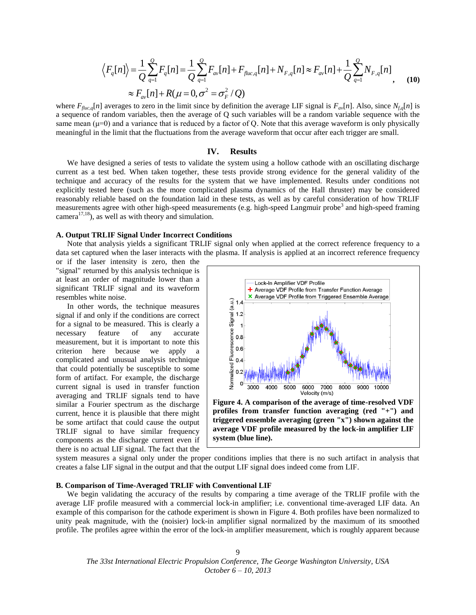$$
\langle F_q[n] \rangle = \frac{1}{Q} \sum_{q=1}^{Q} F_q[n] = \frac{1}{Q} \sum_{q=1}^{Q} F_{av}[n] + F_{fluc,q}[n] + N_{F,q}[n] \approx F_{av}[n] + \frac{1}{Q} \sum_{q=1}^{Q} N_{F,q}[n]
$$
\n
$$
\approx F_{av}[n] + R(\mu = 0, \sigma^2 = \sigma_F^2 / Q)
$$
\nl average to zero in the limit since by definition the average L'E signal is  $F_{av}[n]$ . Also, since  $N_{av}[n]$  is

where  $F_{\text{fluc},q}$ [*n*] averages to zero in the limit since by definition the average LIF signal is  $F_{\text{av}}[n]$ . Also, since  $N_{\text{fq}}[n]$  is a sequence of random variables, then the average of Q such variables will be a random variable sequence with the same mean  $(\mu=0)$  and a variance that is reduced by a factor of Q. Note that this average waveform is only physically meaningful in the limit that the fluctuations from the average waveform that occur after each trigger are small.

## **IV. Results**

We have designed a series of tests to validate the system using a hollow cathode with an oscillating discharge current as a test bed. When taken together, these tests provide strong evidence for the general validity of the technique and accuracy of the results for the system that we have implemented. Results under conditions not explicitly tested here (such as the more complicated plasma dynamics of the Hall thruster) may be considered reasonably reliable based on the foundation laid in these tests, as well as by careful consideration of how TRLIF measurements agree with other high-speed measurements (e.g. high-speed Langmuir probe<sup>3</sup> and high-speed framing camera<sup>17,18</sup>), as well as with theory and simulation.

## **A. Output TRLIF Signal Under Incorrect Conditions**

Note that analysis yields a significant TRLIF signal only when applied at the correct reference frequency to a data set captured when the laser interacts with the plasma. If analysis is applied at an incorrect reference frequency

or if the laser intensity is zero, then the "signal" returned by this analysis technique is at least an order of magnitude lower than a significant TRLIF signal and its waveform resembles white noise.

In other words, the technique measures signal if and only if the conditions are correct for a signal to be measured. This is clearly a necessary feature of any accurate measurement, but it is important to note this criterion here because we apply a complicated and unusual analysis technique that could potentially be susceptible to some form of artifact. For example, the discharge current signal is used in transfer function averaging and TRLIF signals tend to have similar a Fourier spectrum as the discharge current, hence it is plausible that there might be some artifact that could cause the output TRLIF signal to have similar frequency components as the discharge current even if there is no actual LIF signal. The fact that the



<span id="page-8-0"></span>**triggered ensemble averaging (green "x") shown against the average VDF profile measured by the lock-in amplifier LIF system (blue line).**

system measures a signal only under the proper conditions implies that there is no such artifact in analysis that creates a false LIF signal in the output and that the output LIF signal does indeed come from LIF.

## **B. Comparison of Time-Averaged TRLIF with Conventional LIF**

We begin validating the accuracy of the results by comparing a time average of the TRLIF profile with the average LIF profile measured with a commercial lock-in amplifier; i.e. conventional time-averaged LIF data. An example of this comparison for the cathode experiment is shown in [Figure 4.](#page-8-0) Both profiles have been normalized to unity peak magnitude, with the (noisier) lock-in amplifier signal normalized by the maximum of its smoothed profile. The profiles agree within the error of the lock-in amplifier measurement, which is roughly apparent because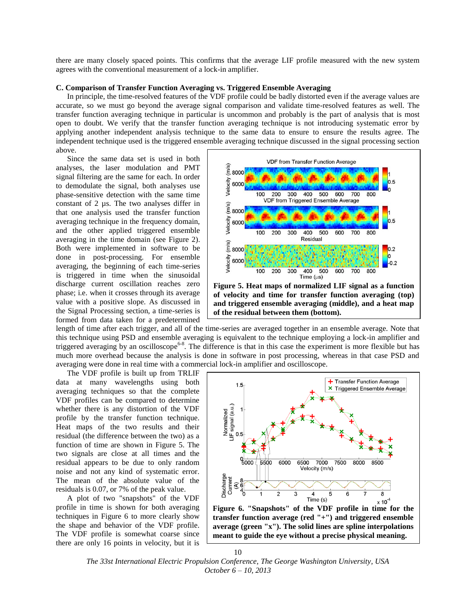there are many closely spaced points. This confirms that the average LIF profile measured with the new system agrees with the conventional measurement of a lock-in amplifier.

## **C. Comparison of Transfer Function Averaging vs. Triggered Ensemble Averaging**

In principle, the time-resolved features of the VDF profile could be badly distorted even if the average values are accurate, so we must go beyond the average signal comparison and validate time-resolved features as well. The transfer function averaging technique in particular is uncommon and probably is the part of analysis that is most open to doubt. We verify that the transfer function averaging technique is not introducing systematic error by applying another independent analysis technique to the same data to ensure to ensure the results agree. The independent technique used is the triggered ensemble averaging technique discussed in the signal processing section above.

Since the same data set is used in both analyses, the laser modulation and PMT signal filtering are the same for each. In order to demodulate the signal, both analyses use phase-sensitive detection with the same time constant of 2 µs. The two analyses differ in that one analysis used the transfer function averaging technique in the frequency domain, and the other applied triggered ensemble averaging in the time domain (see [Figure 2\)](#page-3-0). Both were implemented in software to be done in post-processing. For ensemble averaging, the beginning of each time-series is triggered in time when the sinusoidal discharge current oscillation reaches zero phase; i.e. when it crosses through its average value with a positive slope. As discussed in the Signal Processing section, a time-series is formed from data taken for a predetermined



length of time after each trigger, and all of the time-series are averaged together in an ensemble average. Note that this technique using PSD and ensemble averaging is equivalent to the technique employing a lock-in amplifier and triggered averaging by an oscilloscope<sup>68</sup>. The difference is that in this case the experiment is more flexible but has much more overhead because the analysis is done in software in post processing, whereas in that case PSD and averaging were done in real time with a commercial lock-in amplifier and oscilloscope.

The VDF profile is built up from TRLIF data at many wavelengths using both averaging techniques so that the complete VDF profiles can be compared to determine whether there is any distortion of the VDF profile by the transfer function technique. Heat maps of the two results and their residual (the difference between the two) as a function of time are shown in [Figure 5.](#page-9-0) The two signals are close at all times and the residual appears to be due to only random noise and not any kind of systematic error. The mean of the absolute value of the residuals is 0.07, or 7% of the peak value.

A plot of two "snapshots" of the VDF profile in time is shown for both averaging techniques in [Figure 6](#page-9-1) to more clearly show the shape and behavior of the VDF profile. The VDF profile is somewhat coarse since there are only 16 points in velocity, but it is

<span id="page-9-1"></span><span id="page-9-0"></span>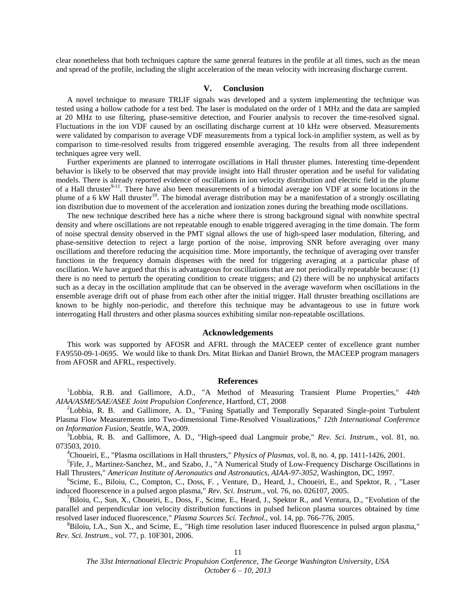clear nonetheless that both techniques capture the same general features in the profile at all times, such as the mean and spread of the profile, including the slight acceleration of the mean velocity with increasing discharge current.

#### **V. Conclusion**

A novel technique to measure TRLIF signals was developed and a system implementing the technique was tested using a hollow cathode for a test bed. The laser is modulated on the order of 1 MHz and the data are sampled at 20 MHz to use filtering, phase-sensitive detection, and Fourier analysis to recover the time-resolved signal. Fluctuations in the ion VDF caused by an oscillating discharge current at 10 kHz were observed. Measurements were validated by comparison to average VDF measurements from a typical lock-in amplifier system, as well as by comparison to time-resolved results from triggered ensemble averaging. The results from all three independent techniques agree very well.

Further experiments are planned to interrogate oscillations in Hall thruster plumes. Interesting time-dependent behavior is likely to be observed that may provide insight into Hall thruster operation and be useful for validating models. There is already reported evidence of oscillations in ion velocity distribution and electric field in the plume of a Hall thruster $9-11$ . There have also been measurements of a bimodal average ion VDF at some locations in the plume of a 6 kW Hall thruster<sup>19</sup>. The bimodal average distribution may be a manifestation of a strongly oscillating ion distribution due to movement of the acceleration and ionization zones during the breathing mode oscillations.

The new technique described here has a niche where there is strong background signal with nonwhite spectral density and where oscillations are not repeatable enough to enable triggered averaging in the time domain. The form of noise spectral density observed in the PMT signal allows the use of high-speed laser modulation, filtering, and phase-sensitive detection to reject a large portion of the noise, improving SNR before averaging over many oscillations and therefore reducing the acquisition time. More importantly, the technique of averaging over transfer functions in the frequency domain dispenses with the need for triggering averaging at a particular phase of oscillation. We have argued that this is advantageous for oscillations that are not periodically repeatable because: (1) there is no need to perturb the operating condition to create triggers; and (2) there will be no unphysical artifacts such as a decay in the oscillation amplitude that can be observed in the average waveform when oscillations in the ensemble average drift out of phase from each other after the initial trigger. Hall thruster breathing oscillations are known to be highly non-periodic, and therefore this technique may be advantageous to use in future work interrogating Hall thrusters and other plasma sources exhibiting similar non-repeatable oscillations.

## **Acknowledgements**

This work was supported by AFOSR and AFRL through the MACEEP center of excellence grant number FA9550-09-1-0695. We would like to thank Drs. Mitat Birkan and Daniel Brown, the MACEEP program managers from AFOSR and AFRL, respectively.

#### **References**

<sup>1</sup>Lobbia, R.B. and Gallimore, A.D., "A Method of Measuring Transient Plume Properties," *44th AIAA/ASME/SAE/ASEE Joint Propulsion Conference*, Hartford, CT, 2008

<sup>2</sup>Lobbia, R. B. and Gallimore, A. D., "Fusing Spatially and Temporally Separated Single-point Turbulent Plasma Flow Measurements into Two-dimensional Time-Resolved Visualizations," *12th International Conference on Information Fusion*, Seattle, WA, 2009.

<sup>3</sup>Lobbia, R. B. and Gallimore, A. D., "High-speed dual Langmuir probe," *Rev. Sci. Instrum.,* vol. 81, no. 073503, 2010.

<sup>4</sup>Choueiri, E., "Plasma oscillations in Hall thrusters," *Physics of Plasmas,* vol. 8, no. 4, pp. 1411-1426, 2001.

<sup>5</sup>Fife, J., Martinez-Sanchez, M., and Szabo, J., "A Numerical Study of Low-Frequency Discharge Oscillations in Hall Thrusters," *American Institute of Aeronautics and Astronautics, AIAA-97-3052*, Washington, DC, 1997.

<sup>6</sup>Scime, E., Biloiu, C., Compton, C., Doss, F., Venture, D., Heard, J., Choueiri, E., and Spektor, R., "Laser induced fluorescence in a pulsed argon plasma," *Rev. Sci. Instrum.,* vol. 76, no. 026107, 2005.

 ${}^{7}$ Biloiu, C., Sun, X., Choueiri, E., Doss, F., Scime, E., Heard, J., Spektor R., and Ventura, D., "Evolution of the parallel and perpendicular ion velocity distribution functions in pulsed helicon plasma sources obtained by time resolved laser induced fluorescence," *Plasma Sources Sci. Technol.,* vol. 14, pp. 766-776, 2005.

<sup>8</sup>Biloiu, I.A., Sun X., and Scime, E., "High time resolution laser induced fluorescence in pulsed argon plasma," *Rev. Sci. Instrum.,* vol. 77, p. 10F301, 2006.

11